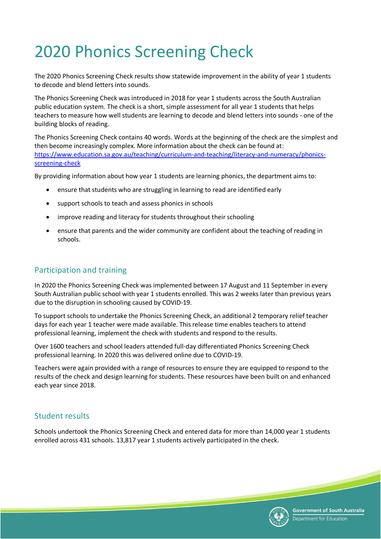## 2020 Phonics Screening Check

The 2020 Phonics Screening Check results show statewide improvement in the ability of year 1 students to decode and blend letters into sounds.

The Phonics Screening Check was introduced in 2018 for year 1 students across the South Australian public education system. The check is a short, simple assessment for all year 1 students that helps teachers to measure how well students are learning to decode and blend letters into sounds - one of the building blocks of reading.

The Phonics Screening Check contains 40 words. Words at the beginning of the check are the simplest and then become increasingly complex. More information about the check can be found at: [https://www.education.sa.gov.au/teaching/curriculum-and-teaching/literacy-and-numeracy/phonics](https://www.education.sa.gov.au/teaching/curriculum-and-teaching/literacy-and-numeracy/phonics-screening-check)[screening-check](https://www.education.sa.gov.au/teaching/curriculum-and-teaching/literacy-and-numeracy/phonics-screening-check)

By providing information about how year 1 students are learning phonics, the department aims to:

- ensure that students who are struggling in learning to read are identified early
- support schools to teach and assess phonics in schools
- improve reading and literacy for students throughout their schooling
- ensure that parents and the wider community are confident about the teaching of reading in schools.

## Participation and training

In 2020 the Phonics Screening Check was implemented between 17 August and 11 September in every South Australian public school with year 1 students enrolled. This was 2 weeks later than previous years due to the disruption in schooling caused by COVID-19.

To support schools to undertake the Phonics Screening Check, an additional 2 temporary relief teacher days for each year 1 teacher were made available. This release time enables teachers to attend professional learning, implement the check with students and respond to the results.

Over 1600 teachers and school leaders attended full-day differentiated Phonics Screening Check professional learning. In 2020 this was delivered online due to COVID-19.

Teachers were again provided with a range of resources to ensure they are equipped to respond to the results of the check and design learning for students. These resources have been built on and enhanced each year since 2018.

## Student results

Schools undertook the Phonics Screening Check and entered data for more than 14,000 year 1 students enrolled across 431 schools. 13,817 year 1 students actively participated in the check.